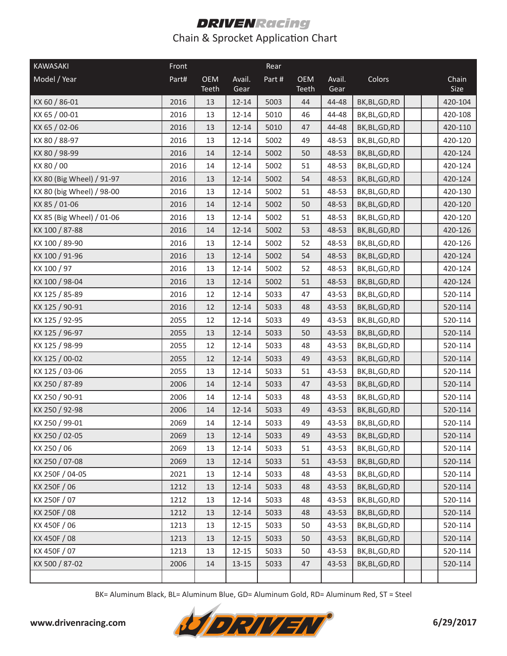| <b>KAWASAKI</b>           | Front |                     |                | Rear  |                     |                |                |  |               |
|---------------------------|-------|---------------------|----------------|-------|---------------------|----------------|----------------|--|---------------|
| Model / Year              | Part# | <b>OEM</b><br>Teeth | Avail.<br>Gear | Part# | <b>OEM</b><br>Teeth | Avail.<br>Gear | Colors         |  | Chain<br>Size |
| KX 60 / 86-01             | 2016  | 13                  | $12 - 14$      | 5003  | 44                  | 44-48          | BK, BL, GD, RD |  | 420-104       |
| KX 65 / 00-01             | 2016  | 13                  | $12 - 14$      | 5010  | 46                  | 44-48          | BK, BL, GD, RD |  | 420-108       |
| KX 65 / 02-06             | 2016  | 13                  | $12 - 14$      | 5010  | 47                  | 44-48          | BK, BL, GD, RD |  | 420-110       |
| KX 80 / 88-97             | 2016  | 13                  | $12 - 14$      | 5002  | 49                  | 48-53          | BK, BL, GD, RD |  | 420-120       |
| KX 80 / 98-99             | 2016  | 14                  | $12 - 14$      | 5002  | 50                  | 48-53          | BK, BL, GD, RD |  | 420-124       |
| KX 80 / 00                | 2016  | 14                  | $12 - 14$      | 5002  | 51                  | 48-53          | BK, BL, GD, RD |  | 420-124       |
| KX 80 (Big Wheel) / 91-97 | 2016  | 13                  | $12 - 14$      | 5002  | 54                  | 48-53          | BK, BL, GD, RD |  | 420-124       |
| KX 80 (big Wheel) / 98-00 | 2016  | 13                  | $12 - 14$      | 5002  | 51                  | 48-53          | BK, BL, GD, RD |  | 420-130       |
| KX 85 / 01-06             | 2016  | 14                  | $12 - 14$      | 5002  | 50                  | 48-53          | BK, BL, GD, RD |  | 420-120       |
| KX 85 (Big Wheel) / 01-06 | 2016  | 13                  | $12 - 14$      | 5002  | 51                  | 48-53          | BK, BL, GD, RD |  | 420-120       |
| KX 100 / 87-88            | 2016  | 14                  | $12 - 14$      | 5002  | 53                  | 48-53          | BK, BL, GD, RD |  | 420-126       |
| KX 100 / 89-90            | 2016  | 13                  | $12 - 14$      | 5002  | 52                  | 48-53          | BK, BL, GD, RD |  | 420-126       |
| KX 100 / 91-96            | 2016  | 13                  | $12 - 14$      | 5002  | 54                  | 48-53          | BK, BL, GD, RD |  | 420-124       |
| KX 100 / 97               | 2016  | 13                  | $12 - 14$      | 5002  | 52                  | 48-53          | BK, BL, GD, RD |  | 420-124       |
| KX 100 / 98-04            | 2016  | 13                  | $12 - 14$      | 5002  | 51                  | 48-53          | BK, BL, GD, RD |  | 420-124       |
| KX 125 / 85-89            | 2016  | 12                  | $12 - 14$      | 5033  | 47                  | 43-53          | BK, BL, GD, RD |  | 520-114       |
| KX 125 / 90-91            | 2016  | 12                  | $12 - 14$      | 5033  | 48                  | 43-53          | BK, BL, GD, RD |  | 520-114       |
| KX 125 / 92-95            | 2055  | 12                  | $12 - 14$      | 5033  | 49                  | 43-53          | BK, BL, GD, RD |  | 520-114       |
| KX 125 / 96-97            | 2055  | 13                  | $12 - 14$      | 5033  | 50                  | 43-53          | BK, BL, GD, RD |  | 520-114       |
| KX 125 / 98-99            | 2055  | 12                  | $12 - 14$      | 5033  | 48                  | 43-53          | BK, BL, GD, RD |  | 520-114       |
| KX 125 / 00-02            | 2055  | 12                  | $12 - 14$      | 5033  | 49                  | 43-53          | BK, BL, GD, RD |  | 520-114       |
| KX 125 / 03-06            | 2055  | 13                  | $12 - 14$      | 5033  | 51                  | 43-53          | BK, BL, GD, RD |  | 520-114       |
| KX 250 / 87-89            | 2006  | 14                  | $12 - 14$      | 5033  | 47                  | 43-53          | BK, BL, GD, RD |  | 520-114       |
| KX 250 / 90-91            | 2006  | 14                  | $12 - 14$      | 5033  | 48                  | 43-53          | BK, BL, GD, RD |  | 520-114       |
| KX 250 / 92-98            | 2006  | 14                  | $12 - 14$      | 5033  | 49                  | 43-53          | BK, BL, GD, RD |  | 520-114       |
| KX 250 / 99-01            | 2069  | 14                  | $12 - 14$      | 5033  | 49                  | 43-53          | BK, BL, GD, RD |  | 520-114       |
| KX 250 / 02-05            | 2069  | 13                  | $12 - 14$      | 5033  | 49                  | 43-53          | BK, BL, GD, RD |  | 520-114       |
| KX 250 / 06               | 2069  | 13                  | $12 - 14$      | 5033  | 51                  | 43-53          | BK, BL, GD, RD |  | 520-114       |
| KX 250 / 07-08            | 2069  | 13                  | $12 - 14$      | 5033  | 51                  | 43-53          | BK, BL, GD, RD |  | 520-114       |
| KX 250F / 04-05           | 2021  | 13                  | $12 - 14$      | 5033  | 48                  | 43-53          | BK, BL, GD, RD |  | 520-114       |
| KX 250F / 06              | 1212  | 13                  | $12 - 14$      | 5033  | 48                  | 43-53          | BK, BL, GD, RD |  | 520-114       |
| KX 250F / 07              | 1212  | 13                  | $12 - 14$      | 5033  | 48                  | 43-53          | BK, BL, GD, RD |  | 520-114       |
| KX 250F / 08              | 1212  | 13                  | $12 - 14$      | 5033  | 48                  | 43-53          | BK, BL, GD, RD |  | 520-114       |
| KX 450F / 06              | 1213  | 13                  | $12 - 15$      | 5033  | 50                  | 43-53          | BK,BL,GD,RD    |  | 520-114       |
| KX 450F / 08              | 1213  | 13                  | $12 - 15$      | 5033  | 50                  | 43-53          | BK, BL, GD, RD |  | 520-114       |
| KX 450F / 07              | 1213  | 13                  | $12 - 15$      | 5033  | 50                  | 43-53          | BK,BL,GD,RD    |  | 520-114       |
| KX 500 / 87-02            | 2006  | 14                  | $13 - 15$      | 5033  | 47                  | 43-53          | BK, BL, GD, RD |  | 520-114       |
|                           |       |                     |                |       |                     |                |                |  |               |

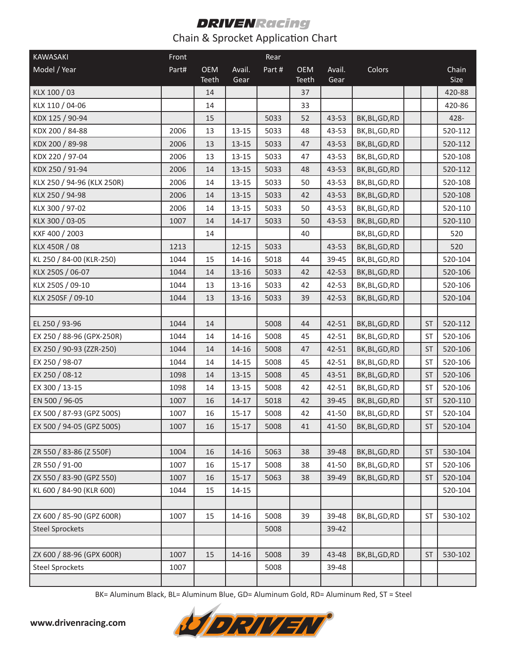| KAWASAKI                   | Front |                     |                | Rear  |                     |                |                |           |               |
|----------------------------|-------|---------------------|----------------|-------|---------------------|----------------|----------------|-----------|---------------|
| Model / Year               | Part# | <b>OEM</b><br>Teeth | Avail.<br>Gear | Part# | <b>OEM</b><br>Teeth | Avail.<br>Gear | Colors         |           | Chain<br>Size |
| KLX 100 / 03               |       | 14                  |                |       | 37                  |                |                |           | 420-88        |
| KLX 110 / 04-06            |       | 14                  |                |       | 33                  |                |                |           | 420-86        |
| KDX 125 / 90-94            |       | 15                  |                | 5033  | 52                  | 43-53          | BK, BL, GD, RD |           | 428-          |
| KDX 200 / 84-88            | 2006  | 13                  | $13 - 15$      | 5033  | 48                  | 43-53          | BK, BL, GD, RD |           | 520-112       |
| KDX 200 / 89-98            | 2006  | 13                  | $13 - 15$      | 5033  | 47                  | 43-53          | BK, BL, GD, RD |           | 520-112       |
| KDX 220 / 97-04            | 2006  | 13                  | $13 - 15$      | 5033  | 47                  | 43-53          | BK, BL, GD, RD |           | 520-108       |
| KDX 250 / 91-94            | 2006  | 14                  | $13 - 15$      | 5033  | 48                  | 43-53          | BK, BL, GD, RD |           | 520-112       |
| KLX 250 / 94-96 (KLX 250R) | 2006  | 14                  | $13 - 15$      | 5033  | 50                  | 43-53          | BK, BL, GD, RD |           | 520-108       |
| KLX 250 / 94-98            | 2006  | 14                  | $13 - 15$      | 5033  | 42                  | 43-53          | BK, BL, GD, RD |           | 520-108       |
| KLX 300 / 97-02            | 2006  | 14                  | $13 - 15$      | 5033  | 50                  | 43-53          | BK, BL, GD, RD |           | 520-110       |
| KLX 300 / 03-05            | 1007  | 14                  | $14 - 17$      | 5033  | 50                  | 43-53          | BK, BL, GD, RD |           | 520-110       |
| KXF 400 / 2003             |       | 14                  |                |       | 40                  |                | BK, BL, GD, RD |           | 520           |
| KLX 450R / 08              | 1213  |                     | $12 - 15$      | 5033  |                     | 43-53          | BK, BL, GD, RD |           | 520           |
| KL 250 / 84-00 (KLR-250)   | 1044  | 15                  | $14 - 16$      | 5018  | 44                  | 39-45          | BK, BL, GD, RD |           | 520-104       |
| KLX 250S / 06-07           | 1044  | 14                  | 13-16          | 5033  | 42                  | 42-53          | BK, BL, GD, RD |           | 520-106       |
| KLX 250S / 09-10           | 1044  | 13                  | 13-16          | 5033  | 42                  | 42-53          | BK, BL, GD, RD |           | 520-106       |
| KLX 250SF / 09-10          | 1044  | 13                  | $13 - 16$      | 5033  | 39                  | 42-53          | BK, BL, GD, RD |           | 520-104       |
|                            |       |                     |                |       |                     |                |                |           |               |
| EL 250 / 93-96             | 1044  | 14                  |                | 5008  | 44                  | 42-51          | BK, BL, GD, RD | <b>ST</b> | 520-112       |
| EX 250 / 88-96 (GPX-250R)  | 1044  | 14                  | 14-16          | 5008  | 45                  | 42-51          | BK, BL, GD, RD | <b>ST</b> | 520-106       |
| EX 250 / 90-93 (ZZR-250)   | 1044  | 14                  | $14 - 16$      | 5008  | 47                  | 42-51          | BK, BL, GD, RD | <b>ST</b> | 520-106       |
| EX 250 / 98-07             | 1044  | 14                  | $14 - 15$      | 5008  | 45                  | 42-51          | BK, BL, GD, RD | <b>ST</b> | 520-106       |
| EX 250 / 08-12             | 1098  | 14                  | $13 - 15$      | 5008  | 45                  | 43-51          | BK, BL, GD, RD | <b>ST</b> | 520-106       |
| EX 300 / 13-15             | 1098  | 14                  | $13 - 15$      | 5008  | 42                  | 42-51          | BK, BL, GD, RD | <b>ST</b> | 520-106       |
| EN 500 / 96-05             | 1007  | 16                  | $14 - 17$      | 5018  | 42                  | 39-45          | BK, BL, GD, RD | <b>ST</b> | 520-110       |
| EX 500 / 87-93 (GPZ 500S)  | 1007  | 16                  | $15 - 17$      | 5008  | 42                  | 41-50          | BK, BL, GD, RD | <b>ST</b> | 520-104       |
| EX 500 / 94-05 (GPZ 500S)  | 1007  | 16                  | $15-17$        | 5008  | 41                  | 41-50          | BK, BL, GD, RD | <b>ST</b> | 520-104       |
|                            |       |                     |                |       |                     |                |                |           |               |
| ZR 550 / 83-86 (Z 550F)    | 1004  | 16                  | $14 - 16$      | 5063  | 38                  | 39-48          | BK, BL, GD, RD | <b>ST</b> | 530-104       |
| ZR 550 / 91-00             | 1007  | 16                  | $15 - 17$      | 5008  | 38                  | 41-50          | BK, BL, GD, RD | <b>ST</b> | 520-106       |
| ZX 550 / 83-90 (GPZ 550)   | 1007  | 16                  | $15 - 17$      | 5063  | 38                  | 39-49          | BK, BL, GD, RD | <b>ST</b> | 520-104       |
| KL 600 / 84-90 (KLR 600)   | 1044  | 15                  | $14 - 15$      |       |                     |                |                |           | 520-104       |
|                            |       |                     |                |       |                     |                |                |           |               |
| ZX 600 / 85-90 (GPZ 600R)  | 1007  | 15                  | 14-16          | 5008  | 39                  | 39-48          | BK, BL, GD, RD | <b>ST</b> | 530-102       |
| <b>Steel Sprockets</b>     |       |                     |                | 5008  |                     | 39-42          |                |           |               |
|                            |       |                     |                |       |                     |                |                |           |               |
| ZX 600 / 88-96 (GPX 600R)  | 1007  | 15                  | 14-16          | 5008  | 39                  | 43-48          | BK, BL, GD, RD | <b>ST</b> | 530-102       |
| <b>Steel Sprockets</b>     | 1007  |                     |                | 5008  |                     | 39-48          |                |           |               |
|                            |       |                     |                |       |                     |                |                |           |               |

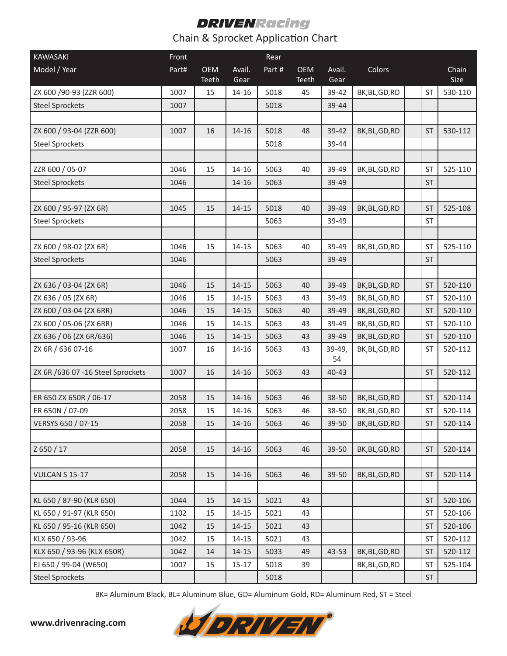| KAWASAKI                          | Front |                     |                | Rear  |                     |                |                |           |               |
|-----------------------------------|-------|---------------------|----------------|-------|---------------------|----------------|----------------|-----------|---------------|
| Model / Year                      | Part# | <b>OEM</b><br>Teeth | Avail.<br>Gear | Part# | <b>OEM</b><br>Teeth | Avail.<br>Gear | Colors         |           | Chain<br>Size |
| ZX 600 /90-93 (ZZR 600)           | 1007  | 15                  | 14-16          | 5018  | 45                  | 39-42          | BK, BL, GD, RD | <b>ST</b> | 530-110       |
| <b>Steel Sprockets</b>            | 1007  |                     |                | 5018  |                     | 39-44          |                |           |               |
|                                   |       |                     |                |       |                     |                |                |           |               |
| ZX 600 / 93-04 (ZZR 600)          | 1007  | 16                  | $14 - 16$      | 5018  | 48                  | 39-42          | BK, BL, GD, RD | <b>ST</b> | 530-112       |
| <b>Steel Sprockets</b>            |       |                     |                | 5018  |                     | 39-44          |                |           |               |
|                                   |       |                     |                |       |                     |                |                |           |               |
| ZZR 600 / 05-07                   | 1046  | 15                  | $14 - 16$      | 5063  | 40                  | 39-49          | BK, BL, GD, RD | <b>ST</b> | 525-110       |
| <b>Steel Sprockets</b>            | 1046  |                     | $14 - 16$      | 5063  |                     | 39-49          |                | ST        |               |
|                                   |       |                     |                |       |                     |                |                |           |               |
| ZX 600 / 95-97 (ZX 6R)            | 1045  | 15                  | $14 - 15$      | 5018  | 40                  | 39-49          | BK, BL, GD, RD | <b>ST</b> | 525-108       |
| <b>Steel Sprockets</b>            |       |                     |                | 5063  |                     | 39-49          |                | <b>ST</b> |               |
|                                   |       |                     |                |       |                     |                |                |           |               |
| ZX 600 / 98-02 (ZX 6R)            | 1046  | 15                  | $14 - 15$      | 5063  | 40                  | 39-49          | BK, BL, GD, RD | <b>ST</b> | 525-110       |
| <b>Steel Sprockets</b>            | 1046  |                     |                | 5063  |                     | 39-49          |                | <b>ST</b> |               |
|                                   |       |                     |                |       |                     |                |                |           |               |
| ZX 636 / 03-04 (ZX 6R)            | 1046  | 15                  | $14 - 15$      | 5063  | 40                  | 39-49          | BK, BL, GD, RD | <b>ST</b> | 520-110       |
| ZX 636 / 05 (ZX 6R)               | 1046  | 15                  | $14 - 15$      | 5063  | 43                  | 39-49          | BK, BL, GD, RD | <b>ST</b> | 520-110       |
| ZX 600 / 03-04 (ZX 6RR)           | 1046  | 15                  | $14 - 15$      | 5063  | 40                  | 39-49          | BK, BL, GD, RD | <b>ST</b> | 520-110       |
| ZX 600 / 05-06 (ZX 6RR)           | 1046  | 15                  | $14 - 15$      | 5063  | 43                  | 39-49          | BK, BL, GD, RD | <b>ST</b> | 520-110       |
| ZX 636 / 06 (ZX 6R/636)           | 1046  | 15                  | $14 - 15$      | 5063  | 43                  | 39-49          | BK, BL, GD, RD | <b>ST</b> | 520-110       |
| ZX 6R / 636 07-16                 | 1007  | 16                  | 14-16          | 5063  | 43                  | 39-49,<br>54   | BK, BL, GD, RD | <b>ST</b> | 520-112       |
| ZX 6R /636 07 -16 Steel Sprockets | 1007  | 16                  | $14 - 16$      | 5063  | 43                  | 40-43          |                | <b>ST</b> | 520-112       |
|                                   |       |                     |                |       |                     |                |                |           |               |
| ER 650 ZX 650R / 06-17            | 2058  | 15                  | $14 - 16$      | 5063  | 46                  | 38-50          | BK, BL, GD, RD | <b>ST</b> | 520-114       |
| ER 650N / 07-09                   | 2058  | 15                  | $14 - 16$      | 5063  | 46                  | 38-50          | BK, BL, GD, RD | ST        | 520-114       |
| VERSYS 650 / 07-15                | 2058  | 15                  | $14 - 16$      | 5063  | 46                  | 39-50          | BK, BL, GD, RD | <b>ST</b> | 520-114       |
|                                   |       |                     |                |       |                     |                |                |           |               |
| Z 650 / 17                        | 2058  | 15                  | $14 - 16$      | 5063  | 46                  | 39-50          | BK, BL, GD, RD | <b>ST</b> | 520-114       |
|                                   |       |                     |                |       |                     |                |                |           |               |
| <b>VULCAN S 15-17</b>             | 2058  | 15                  | $14 - 16$      | 5063  | 46                  | $39 - 50$      | BK, BL, GD, RD | <b>ST</b> | 520-114       |
|                                   |       |                     |                |       |                     |                |                |           |               |
| KL 650 / 87-90 (KLR 650)          | 1044  | 15                  | $14 - 15$      | 5021  | 43                  |                |                | <b>ST</b> | 520-106       |
| KL 650 / 91-97 (KLR 650)          | 1102  | 15                  | $14 - 15$      | 5021  | 43                  |                |                | <b>ST</b> | 520-106       |
| KL 650 / 95-16 (KLR 650)          | 1042  | 15                  | $14 - 15$      | 5021  | 43                  |                |                | <b>ST</b> | 520-106       |
| KLX 650 / 93-96                   | 1042  | 15                  | $14 - 15$      | 5021  | 43                  |                |                | ST        | 520-112       |
| KLX 650 / 93-96 (KLX 650R)        | 1042  | 14                  | $14 - 15$      | 5033  | 49                  | 43-53          | BK, BL, GD, RD | <b>ST</b> | 520-112       |
| EJ 650 / 99-04 (W650)             | 1007  | 15                  | $15 - 17$      | 5018  | 39                  |                | BK,BL,GD,RD    | ST        | 525-104       |
| <b>Steel Sprockets</b>            |       |                     |                | 5018  |                     |                |                | ST        |               |

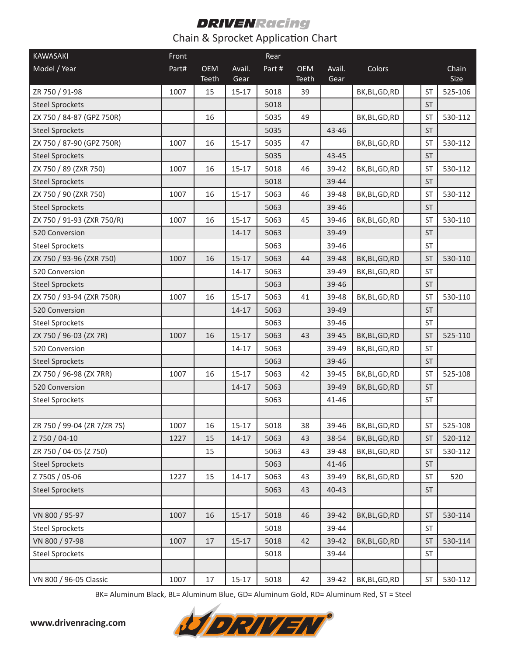| <b>KAWASAKI</b>             | Front |                     |                | Rear  |                     |                |                |           |               |
|-----------------------------|-------|---------------------|----------------|-------|---------------------|----------------|----------------|-----------|---------------|
| Model / Year                | Part# | <b>OEM</b><br>Teeth | Avail.<br>Gear | Part# | <b>OEM</b><br>Teeth | Avail.<br>Gear | Colors         |           | Chain<br>Size |
| ZR 750 / 91-98              | 1007  | 15                  | $15 - 17$      | 5018  | 39                  |                | BK, BL, GD, RD | <b>ST</b> | 525-106       |
| <b>Steel Sprockets</b>      |       |                     |                | 5018  |                     |                |                | <b>ST</b> |               |
| ZX 750 / 84-87 (GPZ 750R)   |       | 16                  |                | 5035  | 49                  |                | BK, BL, GD, RD | <b>ST</b> | 530-112       |
| <b>Steel Sprockets</b>      |       |                     |                | 5035  |                     | 43-46          |                | <b>ST</b> |               |
| ZX 750 / 87-90 (GPZ 750R)   | 1007  | 16                  | $15 - 17$      | 5035  | 47                  |                | BK, BL, GD, RD | <b>ST</b> | 530-112       |
| <b>Steel Sprockets</b>      |       |                     |                | 5035  |                     | 43-45          |                | <b>ST</b> |               |
| ZX 750 / 89 (ZXR 750)       | 1007  | 16                  | $15 - 17$      | 5018  | 46                  | 39-42          | BK, BL, GD, RD | <b>ST</b> | 530-112       |
| <b>Steel Sprockets</b>      |       |                     |                | 5018  |                     | 39-44          |                | <b>ST</b> |               |
| ZX 750 / 90 (ZXR 750)       | 1007  | 16                  | $15 - 17$      | 5063  | 46                  | 39-48          | BK, BL, GD, RD | <b>ST</b> | 530-112       |
| <b>Steel Sprockets</b>      |       |                     |                | 5063  |                     | 39-46          |                | <b>ST</b> |               |
| ZX 750 / 91-93 (ZXR 750/R)  | 1007  | 16                  | $15 - 17$      | 5063  | 45                  | 39-46          | BK, BL, GD, RD | <b>ST</b> | 530-110       |
| 520 Conversion              |       |                     | $14 - 17$      | 5063  |                     | 39-49          |                | <b>ST</b> |               |
| <b>Steel Sprockets</b>      |       |                     |                | 5063  |                     | 39-46          |                | <b>ST</b> |               |
| ZX 750 / 93-96 (ZXR 750)    | 1007  | 16                  | $15 - 17$      | 5063  | 44                  | 39-48          | BK, BL, GD, RD | <b>ST</b> | 530-110       |
| 520 Conversion              |       |                     | $14 - 17$      | 5063  |                     | 39-49          | BK, BL, GD, RD | <b>ST</b> |               |
| <b>Steel Sprockets</b>      |       |                     |                | 5063  |                     | 39-46          |                | <b>ST</b> |               |
| ZX 750 / 93-94 (ZXR 750R)   | 1007  | 16                  | $15 - 17$      | 5063  | 41                  | 39-48          | BK, BL, GD, RD | <b>ST</b> | 530-110       |
| 520 Conversion              |       |                     | $14 - 17$      | 5063  |                     | 39-49          |                | <b>ST</b> |               |
| <b>Steel Sprockets</b>      |       |                     |                | 5063  |                     | 39-46          |                | <b>ST</b> |               |
| ZX 750 / 96-03 (ZX 7R)      | 1007  | 16                  | $15 - 17$      | 5063  | 43                  | 39-45          | BK, BL, GD, RD | <b>ST</b> | 525-110       |
| 520 Conversion              |       |                     | $14 - 17$      | 5063  |                     | 39-49          | BK, BL, GD, RD | <b>ST</b> |               |
| <b>Steel Sprockets</b>      |       |                     |                | 5063  |                     | 39-46          |                | ST        |               |
| ZX 750 / 96-98 (ZX 7RR)     | 1007  | 16                  | $15 - 17$      | 5063  | 42                  | 39-45          | BK, BL, GD, RD | <b>ST</b> | 525-108       |
| 520 Conversion              |       |                     | $14 - 17$      | 5063  |                     | 39-49          | BK, BL, GD, RD | <b>ST</b> |               |
| <b>Steel Sprockets</b>      |       |                     |                | 5063  |                     | 41-46          |                | <b>ST</b> |               |
|                             |       |                     |                |       |                     |                |                |           |               |
| ZR 750 / 99-04 (ZR 7/ZR 7S) | 1007  | 16                  | $15 - 17$      | 5018  | 38                  | 39-46          | BK, BL, GD, RD | <b>ST</b> | 525-108       |
| Z 750 / 04-10               | 1227  | 15                  | $14 - 17$      | 5063  | 43                  | 38-54          | BK, BL, GD, RD | <b>ST</b> | 520-112       |
| ZR 750 / 04-05 (Z 750)      |       | 15                  |                | 5063  | 43                  | 39-48          | BK, BL, GD, RD | ST        | 530-112       |
| <b>Steel Sprockets</b>      |       |                     |                | 5063  |                     | 41-46          |                | ST        |               |
| Z 750S / 05-06              | 1227  | 15                  | $14 - 17$      | 5063  | 43                  | 39-49          | BK,BL,GD,RD    | ST        | 520           |
| <b>Steel Sprockets</b>      |       |                     |                | 5063  | 43                  | $40 - 43$      |                | ST        |               |
|                             |       |                     |                |       |                     |                |                |           |               |
| VN 800 / 95-97              | 1007  | 16                  | $15 - 17$      | 5018  | 46                  | 39-42          | BK, BL, GD, RD | <b>ST</b> | 530-114       |
| <b>Steel Sprockets</b>      |       |                     |                | 5018  |                     | 39-44          |                | ST        |               |
| VN 800 / 97-98              | 1007  | 17                  | $15 - 17$      | 5018  | 42                  | 39-42          | BK, BL, GD, RD | <b>ST</b> | 530-114       |
| <b>Steel Sprockets</b>      |       |                     |                | 5018  |                     | 39-44          |                | ST        |               |
|                             |       |                     |                |       |                     |                |                |           |               |
| VN 800 / 96-05 Classic      | 1007  | 17                  | $15 - 17$      | 5018  | 42                  | 39-42          | BK,BL,GD,RD    | ST        | 530-112       |

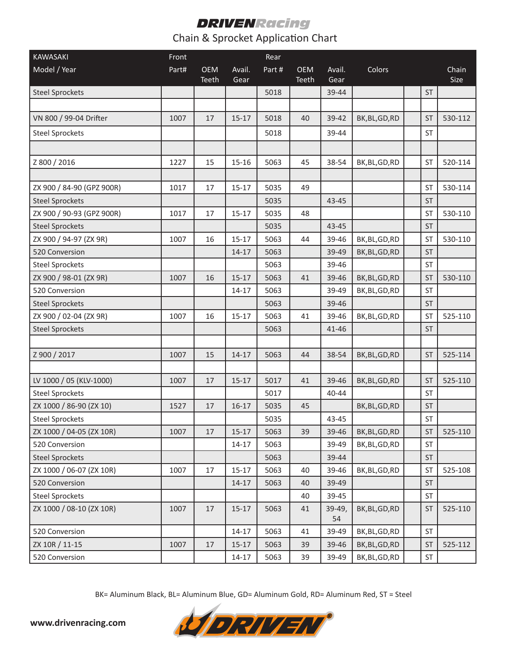| <b>KAWASAKI</b>           | Front |                     |                | Rear   |                            |                |                |                      |               |
|---------------------------|-------|---------------------|----------------|--------|----------------------------|----------------|----------------|----------------------|---------------|
| Model / Year              | Part# | <b>OEM</b><br>Teeth | Avail.<br>Gear | Part # | <b>OEM</b><br><b>Teeth</b> | Avail.<br>Gear | Colors         |                      | Chain<br>Size |
| <b>Steel Sprockets</b>    |       |                     |                | 5018   |                            | 39-44          |                | <b>ST</b>            |               |
|                           |       |                     |                |        |                            |                |                |                      |               |
| VN 800 / 99-04 Drifter    | 1007  | 17                  | $15 - 17$      | 5018   | 40                         | 39-42          | BK, BL, GD, RD | <b>ST</b>            | 530-112       |
| <b>Steel Sprockets</b>    |       |                     |                | 5018   |                            | 39-44          |                | ST                   |               |
|                           |       |                     |                |        |                            |                |                |                      |               |
| Z 800 / 2016              | 1227  | 15                  | $15 - 16$      | 5063   | 45                         | 38-54          | BK, BL, GD, RD | <b>ST</b>            | 520-114       |
|                           |       |                     |                |        |                            |                |                |                      |               |
| ZX 900 / 84-90 (GPZ 900R) | 1017  | 17                  | $15 - 17$      | 5035   | 49                         |                |                | <b>ST</b>            | 530-114       |
| <b>Steel Sprockets</b>    |       |                     |                | 5035   |                            | 43-45          |                | <b>ST</b>            |               |
| ZX 900 / 90-93 (GPZ 900R) | 1017  | 17                  | $15 - 17$      | 5035   | 48                         |                |                | <b>ST</b>            | 530-110       |
| <b>Steel Sprockets</b>    |       |                     |                | 5035   |                            | 43-45          |                | <b>ST</b>            |               |
| ZX 900 / 94-97 (ZX 9R)    | 1007  | 16                  | $15 - 17$      | 5063   | 44                         | 39-46          | BK, BL, GD, RD | <b>ST</b>            | 530-110       |
| 520 Conversion            |       |                     | $14 - 17$      | 5063   |                            | 39-49          | BK, BL, GD, RD | <b>ST</b>            |               |
| <b>Steel Sprockets</b>    |       |                     |                | 5063   |                            | 39-46          |                | ST                   |               |
| ZX 900 / 98-01 (ZX 9R)    | 1007  | 16                  | $15 - 17$      | 5063   | 41                         | 39-46          | BK, BL, GD, RD | <b>ST</b>            | 530-110       |
| 520 Conversion            |       |                     | $14 - 17$      | 5063   |                            | 39-49          | BK, BL, GD, RD | <b>ST</b>            |               |
| <b>Steel Sprockets</b>    |       |                     |                | 5063   |                            | 39-46          |                | <b>ST</b>            |               |
| ZX 900 / 02-04 (ZX 9R)    | 1007  | 16                  | $15 - 17$      | 5063   | 41                         | 39-46          | BK, BL, GD, RD | <b>ST</b>            | 525-110       |
| <b>Steel Sprockets</b>    |       |                     |                | 5063   |                            | 41-46          |                | <b>ST</b>            |               |
|                           |       |                     |                |        |                            |                |                |                      |               |
| Z 900 / 2017              | 1007  | 15                  | $14 - 17$      | 5063   | 44                         | 38-54          | BK, BL, GD, RD | <b>ST</b>            | 525-114       |
|                           |       |                     |                |        |                            |                |                |                      |               |
| LV 1000 / 05 (KLV-1000)   | 1007  | 17                  | $15 - 17$      | 5017   | 41                         | 39-46          | BK, BL, GD, RD | <b>ST</b>            | 525-110       |
| <b>Steel Sprockets</b>    |       |                     |                | 5017   |                            | 40-44          |                | <b>ST</b>            |               |
| ZX 1000 / 86-90 (ZX 10)   | 1527  | 17                  | $16 - 17$      | 5035   | 45                         |                | BK, BL, GD, RD | <b>ST</b>            |               |
| <b>Steel Sprockets</b>    |       |                     |                | 5035   |                            | 43-45          |                | $\mathsf{ST}\xspace$ |               |
| ZX 1000 / 04-05 (ZX 10R)  | 1007  | 17                  | $15 - 17$      | 5063   | 39                         | 39-46          | BK, BL, GD, RD | <b>ST</b>            | 525-110       |
| 520 Conversion            |       |                     | $14 - 17$      | 5063   |                            | 39-49          | BK, BL, GD, RD | <b>ST</b>            |               |
| <b>Steel Sprockets</b>    |       |                     |                | 5063   |                            | 39-44          |                | ST                   |               |
| ZX 1000 / 06-07 (ZX 10R)  | 1007  | 17                  | $15 - 17$      | 5063   | 40                         | 39-46          | BK, BL, GD, RD | ST                   | 525-108       |
| 520 Conversion            |       |                     | $14 - 17$      | 5063   | 40                         | 39-49          |                | <b>ST</b>            |               |
| <b>Steel Sprockets</b>    |       |                     |                |        | 40                         | 39-45          |                | ST                   |               |
| ZX 1000 / 08-10 (ZX 10R)  | 1007  | 17                  | $15 - 17$      | 5063   | 41                         | 39-49,<br>54   | BK, BL, GD, RD | ST                   | 525-110       |
| 520 Conversion            |       |                     | $14 - 17$      | 5063   | 41                         | 39-49          | BK, BL, GD, RD | ST                   |               |
| ZX 10R / 11-15            | 1007  | 17                  | $15-17$        | 5063   | 39                         | 39-46          | BK, BL, GD, RD | <b>ST</b>            | 525-112       |
| 520 Conversion            |       |                     | $14 - 17$      | 5063   | 39                         | 39-49          | BK,BL,GD,RD    | ST                   |               |